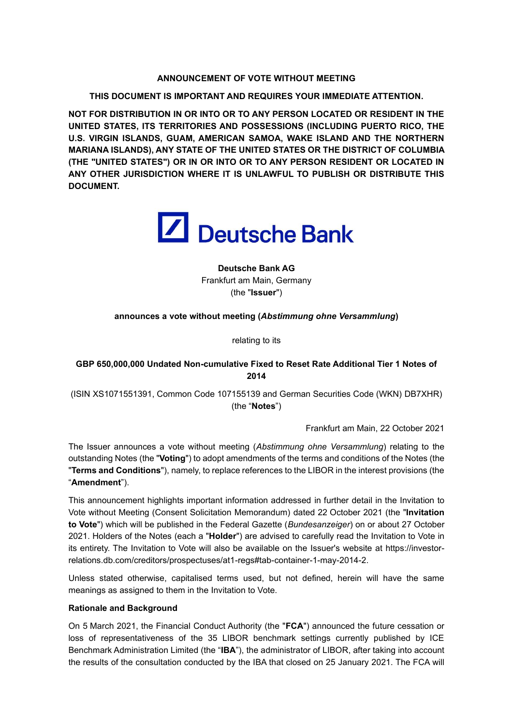## **ANNOUNCEMENT OF VOTE WITHOUT MEETING**

**THIS DOCUMENT IS IMPORTANT AND REQUIRES YOUR IMMEDIATE ATTENTION.**

**NOT FOR DISTRIBUTION IN OR INTO OR TO ANY PERSON LOCATED OR RESIDENT IN THE UNITED STATES, ITS TERRITORIES AND POSSESSIONS (INCLUDING PUERTO RICO, THE U.S. VIRGIN ISLANDS, GUAM, AMERICAN SAMOA, WAKE ISLAND AND THE NORTHERN MARIANA ISLANDS), ANY STATE OF THE UNITED STATES OR THE DISTRICT OF COLUMBIA (THE "UNITED STATES") OR IN OR INTO OR TO ANY PERSON RESIDENT OR LOCATED IN ANY OTHER JURISDICTION WHERE IT IS UNLAWFUL TO PUBLISH OR DISTRIBUTE THIS DOCUMENT.**



**Deutsche Bank AG** Frankfurt am Main, Germany (the "**Issuer**")

## **announces a vote without meeting (***Abstimmung ohne Versammlung***)**

relating to its

# **GBP 650,000,000 Undated Non-cumulative Fixed to Reset Rate Additional Tier 1 Notes of 2014**

(ISIN XS1071551391, Common Code 107155139 and German Securities Code (WKN) DB7XHR) (the "**Notes**")

Frankfurt am Main, 22 October 2021

The Issuer announces a vote without meeting (*Abstimmung ohne Versammlung*) relating to the outstanding Notes (the "**Voting**") to adopt amendments of the terms and conditions of the Notes (the "**Terms and Conditions**"), namely, to replace references to the LIBOR in the interest provisions (the "**Amendment**").

This announcement highlights important information addressed in further detail in the Invitation to Vote without Meeting (Consent Solicitation Memorandum) dated 22 October 2021 (the "**Invitation to Vote**") which will be published in the Federal Gazette (*Bundesanzeiger*) on or about 27 October 2021. Holders of the Notes (each a "**Holder**") are advised to carefully read the Invitation to Vote in its entirety. The Invitation to Vote will also be available on the Issuer's website at https://investorrelations.db.com/creditors/prospectuses/at1-regs#tab-container-1-may-2014-2.

Unless stated otherwise, capitalised terms used, but not defined, herein will have the same meanings as assigned to them in the Invitation to Vote.

## **Rationale and Background**

On 5 March 2021, the Financial Conduct Authority (the "**FCA**") announced the future cessation or loss of representativeness of the 35 LIBOR benchmark settings currently published by ICE Benchmark Administration Limited (the "**IBA**"), the administrator of LIBOR, after taking into account the results of the consultation conducted by the IBA that closed on 25 January 2021. The FCA will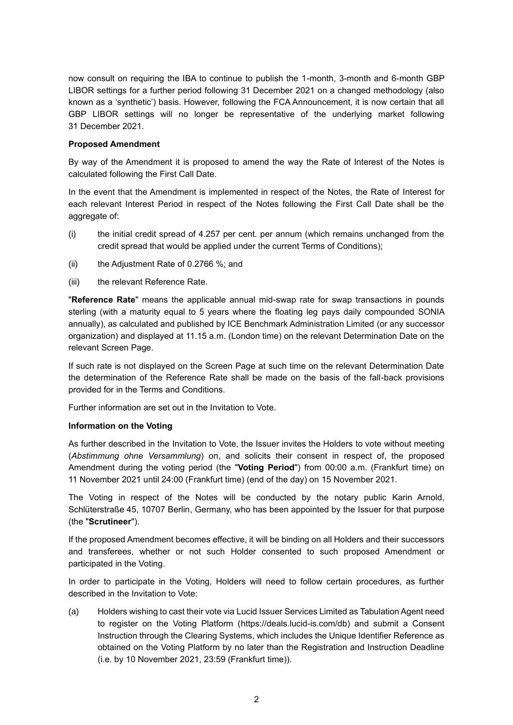now consult on requiring the IBA to continue to publish the 1-month, 3-month and 6-month GBP LIBOR settings for a further period following 31 December 2021 on a changed methodology (also known as a 'synthetic') basis. However, following the FCA Announcement, it is now certain that all GBP LIBOR settings will no longer be representative of the underlying market following 31 December 2021.

#### **Proposed Amendment**

By way of the Amendment it is proposed to amend the way the Rate of Interest of the Notes is calculated following the First Call Date.

In the event that the Amendment is implemented in respect of the Notes, the Rate of Interest for each relevant Interest Period in respect of the Notes following the First Call Date shall be the aggregate of:

- (i) the initial credit spread of 4.257 per cent. per annum (which remains unchanged from the credit spread that would be applied under the current Terms of Conditions);
- (ii) the Adjustment Rate of 0.2766 %; and
- (iii) the relevant Reference Rate.

"**Reference Rate**" means the applicable annual mid-swap rate for swap transactions in pounds sterling (with a maturity equal to 5 years where the floating leg pays daily compounded SONIA annually), as calculated and published by ICE Benchmark Administration Limited (or any successor organization) and displayed at 11.15 a.m. (London time) on the relevant Determination Date on the relevant Screen Page.

If such rate is not displayed on the Screen Page at such time on the relevant Determination Date the determination of the Reference Rate shall be made on the basis of the fall-back provisions provided for in the Terms and Conditions.

Further information are set out in the Invitation to Vote.

#### **Information on the Voting**

As further described in the Invitation to Vote, the Issuer invites the Holders to vote without meeting (*Abstimmung ohne Versammlung*) on, and solicits their consent in respect of, the proposed Amendment during the voting period (the "**Voting Period**") from 00:00 a.m. (Frankfurt time) on 11 November 2021 until 24:00 (Frankfurt time) (end of the day) on 15 November 2021.

The Voting in respect of the Notes will be conducted by the notary public Karin Arnold, Schlüterstraße 45, 10707 Berlin, Germany, who has been appointed by the Issuer for that purpose (the "**Scrutineer**").

If the proposed Amendment becomes effective, it will be binding on all Holders and their successors and transferees, whether or not such Holder consented to such proposed Amendment or participated in the Voting.

In order to participate in the Voting, Holders will need to follow certain procedures, as further described in the Invitation to Vote:

(a) Holders wishing to cast their vote via Lucid Issuer Services Limited as Tabulation Agent need to register on the Voting Platform (https://deals.lucid-is.com/db) and submit a Consent Instruction through the Clearing Systems, which includes the Unique Identifier Reference as obtained on the Voting Platform by no later than the Registration and Instruction Deadline (i.e. by 10 November 2021, 23:59 (Frankfurt time)).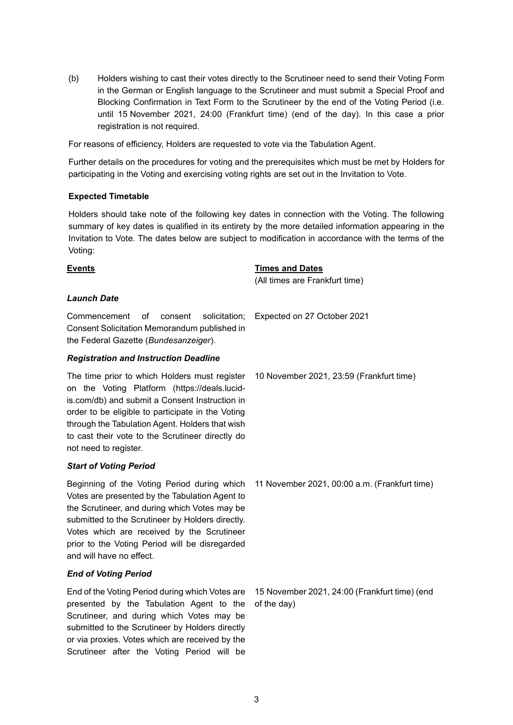(b) Holders wishing to cast their votes directly to the Scrutineer need to send their Voting Form in the German or English language to the Scrutineer and must submit a Special Proof and Blocking Confirmation in Text Form to the Scrutineer by the end of the Voting Period (i.e. until 15 November 2021, 24:00 (Frankfurt time) (end of the day). In this case a prior registration is not required.

For reasons of efficiency, Holders are requested to vote via the Tabulation Agent.

Further details on the procedures for voting and the prerequisites which must be met by Holders for participating in the Voting and exercising voting rights are set out in the Invitation to Vote.

#### **Expected Timetable**

Holders should take note of the following key dates in connection with the Voting. The following summary of key dates is qualified in its entirety by the more detailed information appearing in the Invitation to Vote. The dates below are subject to modification in accordance with the terms of the Voting:

#### **Events Times and Dates**

(All times are Frankfurt time)

## *Launch Date*

Commencement of consent solicitation; Expected on 27 October 2021 Consent Solicitation Memorandum published in the Federal Gazette (*Bundesanzeiger*).

#### *Registration and Instruction Deadline*

The time prior to which Holders must register on the Voting Platform (https://deals.lucidis.com/db) and submit a Consent Instruction in order to be eligible to participate in the Voting through the Tabulation Agent. Holders that wish to cast their vote to the Scrutineer directly do not need to register.

## *Start of Voting Period*

Beginning of the Voting Period during which Votes are presented by the Tabulation Agent to the Scrutineer, and during which Votes may be submitted to the Scrutineer by Holders directly. Votes which are received by the Scrutineer prior to the Voting Period will be disregarded and will have no effect.

## *End of Voting Period*

End of the Voting Period during which Votes are presented by the Tabulation Agent to the Scrutineer, and during which Votes may be submitted to the Scrutineer by Holders directly or via proxies. Votes which are received by the Scrutineer after the Voting Period will be

10 November 2021, 23:59 (Frankfurt time)

11 November 2021, 00:00 a.m. (Frankfurt time)

15 November 2021, 24:00 (Frankfurt time) (end of the day)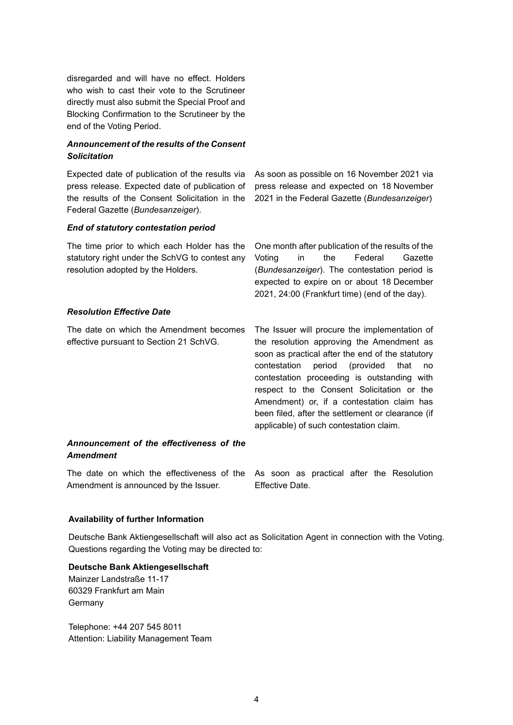disregarded and will have no effect. Holders who wish to cast their vote to the Scrutineer directly must also submit the Special Proof and Blocking Confirmation to the Scrutineer by the end of the Voting Period.

# *Announcement of the results of the Consent Solicitation*

Expected date of publication of the results via press release. Expected date of publication of the results of the Consent Solicitation in the Federal Gazette (*Bundesanzeiger*).

As soon as possible on 16 November 2021 via press release and expected on 18 November 2021 in the Federal Gazette (*Bundesanzeiger*)

#### *End of statutory contestation period*

The time prior to which each Holder has the statutory right under the SchVG to contest any resolution adopted by the Holders.

One month after publication of the results of the Voting in the Federal Gazette (*Bundesanzeiger*). The contestation period is expected to expire on or about 18 December 2021, 24:00 (Frankfurt time) (end of the day).

#### *Resolution Effective Date*

The date on which the Amendment becomes effective pursuant to Section 21 SchVG.

The Issuer will procure the implementation of the resolution approving the Amendment as soon as practical after the end of the statutory contestation period (provided that no contestation proceeding is outstanding with respect to the Consent Solicitation or the Amendment) or, if a contestation claim has been filed, after the settlement or clearance (if applicable) of such contestation claim.

## *Announcement of the effectiveness of the Amendment*

The date on which the effectiveness of the Amendment is announced by the Issuer. Effective Date.

As soon as practical after the Resolution

## **Availability of further Information**

Deutsche Bank Aktiengesellschaft will also act as Solicitation Agent in connection with the Voting. Questions regarding the Voting may be directed to:

#### **Deutsche Bank Aktiengesellschaft**

Mainzer Landstraße 11-17 60329 Frankfurt am Main Germany

Telephone: +44 207 545 8011 Attention: Liability Management Team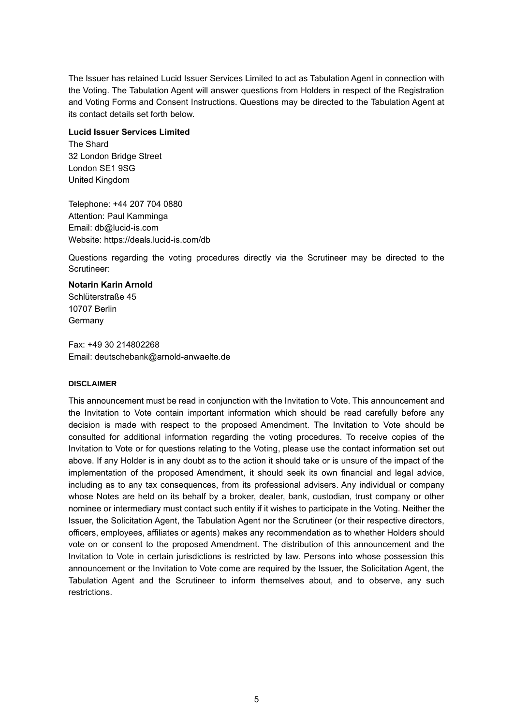The Issuer has retained Lucid Issuer Services Limited to act as Tabulation Agent in connection with the Voting. The Tabulation Agent will answer questions from Holders in respect of the Registration and Voting Forms and Consent Instructions. Questions may be directed to the Tabulation Agent at its contact details set forth below.

#### **Lucid Issuer Services Limited**

The Shard 32 London Bridge Street London SE1 9SG United Kingdom

Telephone: +44 207 704 0880 Attention: Paul Kamminga Email: db@lucid-is.com Website: https://deals.lucid-is.com/db

Questions regarding the voting procedures directly via the Scrutineer may be directed to the Scrutineer:

# **Notarin Karin Arnold** Schlüterstraße 45

10707 Berlin Germany

Fax: +49 30 214802268 Email: deutschebank@arnold-anwaelte.de

## **DISCLAIMER**

This announcement must be read in conjunction with the Invitation to Vote. This announcement and the Invitation to Vote contain important information which should be read carefully before any decision is made with respect to the proposed Amendment. The Invitation to Vote should be consulted for additional information regarding the voting procedures. To receive copies of the Invitation to Vote or for questions relating to the Voting, please use the contact information set out above. If any Holder is in any doubt as to the action it should take or is unsure of the impact of the implementation of the proposed Amendment, it should seek its own financial and legal advice, including as to any tax consequences, from its professional advisers. Any individual or company whose Notes are held on its behalf by a broker, dealer, bank, custodian, trust company or other nominee or intermediary must contact such entity if it wishes to participate in the Voting. Neither the Issuer, the Solicitation Agent, the Tabulation Agent nor the Scrutineer (or their respective directors, officers, employees, affiliates or agents) makes any recommendation as to whether Holders should vote on or consent to the proposed Amendment. The distribution of this announcement and the Invitation to Vote in certain jurisdictions is restricted by law. Persons into whose possession this announcement or the Invitation to Vote come are required by the Issuer, the Solicitation Agent, the Tabulation Agent and the Scrutineer to inform themselves about, and to observe, any such restrictions.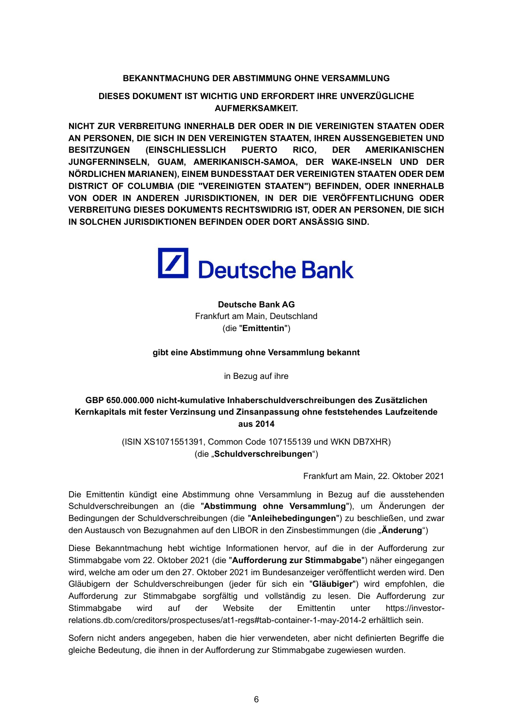## **BEKANNTMACHUNG DER ABSTIMMUNG OHNE VERSAMMLUNG**

**DIESES DOKUMENT IST WICHTIG UND ERFORDERT IHRE UNVERZÜGLICHE AUFMERKSAMKEIT.**

**NICHT ZUR VERBREITUNG INNERHALB DER ODER IN DIE VEREINIGTEN STAATEN ODER AN PERSONEN, DIE SICH IN DEN VEREINIGTEN STAATEN, IHREN AUSSENGEBIETEN UND BESITZUNGEN (EINSCHLIESSLICH PUERTO RICO, DER AMERIKANISCHEN JUNGFERNINSELN, GUAM, AMERIKANISCH-SAMOA, DER WAKE-INSELN UND DER NÖRDLICHEN MARIANEN), EINEM BUNDESSTAAT DER VEREINIGTEN STAATEN ODER DEM DISTRICT OF COLUMBIA (DIE "VEREINIGTEN STAATEN") BEFINDEN, ODER INNERHALB VON ODER IN ANDEREN JURISDIKTIONEN, IN DER DIE VERÖFFENTLICHUNG ODER VERBREITUNG DIESES DOKUMENTS RECHTSWIDRIG IST, ODER AN PERSONEN, DIE SICH IN SOLCHEN JURISDIKTIONEN BEFINDEN ODER DORT ANSÄSSIG SIND.**



**Deutsche Bank AG** Frankfurt am Main, Deutschland (die "**Emittentin**")

**gibt eine Abstimmung ohne Versammlung bekannt** 

in Bezug auf ihre

# **GBP 650.000.000 nicht-kumulative Inhaberschuldverschreibungen des Zusätzlichen Kernkapitals mit fester Verzinsung und Zinsanpassung ohne feststehendes Laufzeitende aus 2014**

(ISIN XS1071551391, Common Code 107155139 und WKN DB7XHR) (die "**Schuldverschreibungen**")

Frankfurt am Main, 22. Oktober 2021

Die Emittentin kündigt eine Abstimmung ohne Versammlung in Bezug auf die ausstehenden Schuldverschreibungen an (die "**Abstimmung ohne Versammlung**"), um Änderungen der Bedingungen der Schuldverschreibungen (die "**Anleihebedingungen**") zu beschließen, und zwar den Austausch von Bezugnahmen auf den LIBOR in den Zinsbestimmungen (die "**Änderung**")

Diese Bekanntmachung hebt wichtige Informationen hervor, auf die in der Aufforderung zur Stimmabgabe vom 22. Oktober 2021 (die "**Aufforderung zur Stimmabgabe**") näher eingegangen wird, welche am oder um den 27. Oktober 2021 im Bundesanzeiger veröffentlicht werden wird. Den Gläubigern der Schuldverschreibungen (jeder für sich ein "**Gläubiger**") wird empfohlen, die Aufforderung zur Stimmabgabe sorgfältig und vollständig zu lesen. Die Aufforderung zur Stimmabgabe wird auf der Website der Emittentin unter https://investorrelations.db.com/creditors/prospectuses/at1-regs#tab-container-1-may-2014-2 erhältlich sein.

Sofern nicht anders angegeben, haben die hier verwendeten, aber nicht definierten Begriffe die gleiche Bedeutung, die ihnen in der Aufforderung zur Stimmabgabe zugewiesen wurden.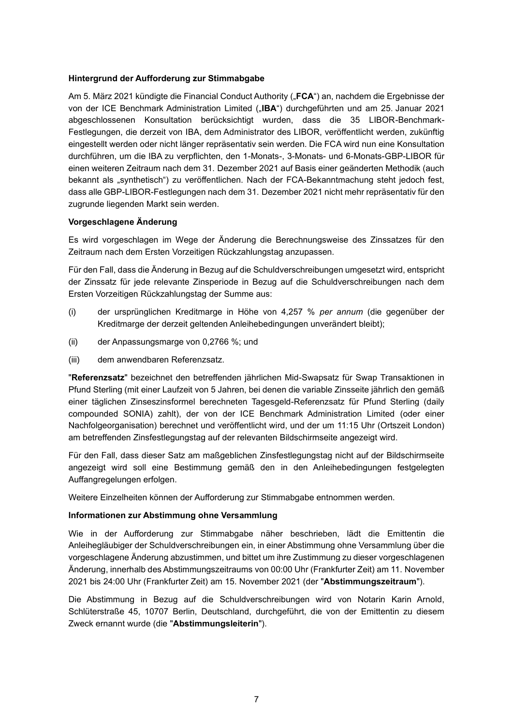## **Hintergrund der Aufforderung zur Stimmabgabe**

Am 5. März 2021 kündigte die Financial Conduct Authority ("**FCA**") an, nachdem die Ergebnisse der von der ICE Benchmark Administration Limited ("IBA") durchgeführten und am 25. Januar 2021 abgeschlossenen Konsultation berücksichtigt wurden, dass die 35 LIBOR-Benchmark-Festlegungen, die derzeit von IBA, dem Administrator des LIBOR, veröffentlicht werden, zukünftig eingestellt werden oder nicht länger repräsentativ sein werden. Die FCA wird nun eine Konsultation durchführen, um die IBA zu verpflichten, den 1-Monats-, 3-Monats- und 6-Monats-GBP-LIBOR für einen weiteren Zeitraum nach dem 31. Dezember 2021 auf Basis einer geänderten Methodik (auch bekannt als "synthetisch") zu veröffentlichen. Nach der FCA-Bekanntmachung steht jedoch fest, dass alle GBP-LIBOR-Festlegungen nach dem 31. Dezember 2021 nicht mehr repräsentativ für den zugrunde liegenden Markt sein werden.

# **Vorgeschlagene Änderung**

Es wird vorgeschlagen im Wege der Änderung die Berechnungsweise des Zinssatzes für den Zeitraum nach dem Ersten Vorzeitigen Rückzahlungstag anzupassen.

Für den Fall, dass die Änderung in Bezug auf die Schuldverschreibungen umgesetzt wird, entspricht der Zinssatz für jede relevante Zinsperiode in Bezug auf die Schuldverschreibungen nach dem Ersten Vorzeitigen Rückzahlungstag der Summe aus:

- (i) der ursprünglichen Kreditmarge in Höhe von 4,257 % *per annum* (die gegenüber der Kreditmarge der derzeit geltenden Anleihebedingungen unverändert bleibt);
- (ii) der Anpassungsmarge von 0,2766 %; und
- (iii) dem anwendbaren Referenzsatz.

"**Referenzsatz**" bezeichnet den betreffenden jährlichen Mid-Swapsatz für Swap Transaktionen in Pfund Sterling (mit einer Laufzeit von 5 Jahren, bei denen die variable Zinsseite jährlich den gemäß einer täglichen Zinseszinsformel berechneten Tagesgeld-Referenzsatz für Pfund Sterling (daily compounded SONIA) zahlt), der von der ICE Benchmark Administration Limited (oder einer Nachfolgeorganisation) berechnet und veröffentlicht wird, und der um 11:15 Uhr (Ortszeit London) am betreffenden Zinsfestlegungstag auf der relevanten Bildschirmseite angezeigt wird.

Für den Fall, dass dieser Satz am maßgeblichen Zinsfestlegungstag nicht auf der Bildschirmseite angezeigt wird soll eine Bestimmung gemäß den in den Anleihebedingungen festgelegten Auffangregelungen erfolgen.

Weitere Einzelheiten können der Aufforderung zur Stimmabgabe entnommen werden.

# **Informationen zur Abstimmung ohne Versammlung**

Wie in der Aufforderung zur Stimmabgabe näher beschrieben, lädt die Emittentin die Anleihegläubiger der Schuldverschreibungen ein, in einer Abstimmung ohne Versammlung über die vorgeschlagene Änderung abzustimmen, und bittet um ihre Zustimmung zu dieser vorgeschlagenen Änderung, innerhalb des Abstimmungszeitraums von 00:00 Uhr (Frankfurter Zeit) am 11. November 2021 bis 24:00 Uhr (Frankfurter Zeit) am 15. November 2021 (der "**Abstimmungszeitraum**").

Die Abstimmung in Bezug auf die Schuldverschreibungen wird von Notarin Karin Arnold, Schlüterstraße 45, 10707 Berlin, Deutschland, durchgeführt, die von der Emittentin zu diesem Zweck ernannt wurde (die "**Abstimmungsleiterin**").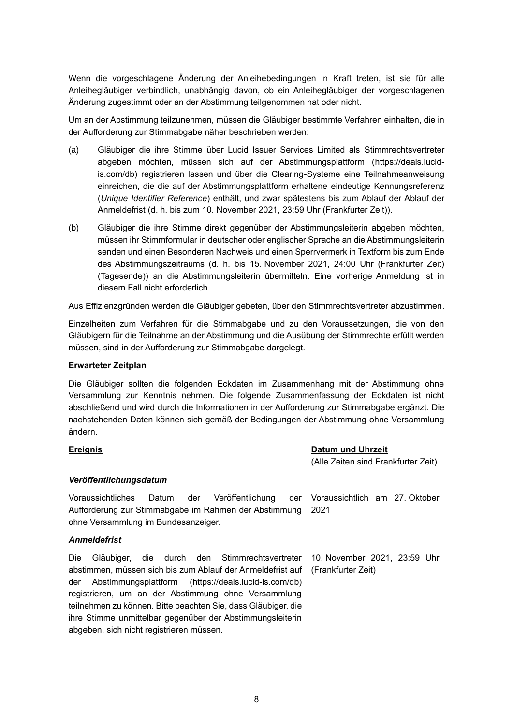Wenn die vorgeschlagene Änderung der Anleihebedingungen in Kraft treten, ist sie für alle Anleihegläubiger verbindlich, unabhängig davon, ob ein Anleihegläubiger der vorgeschlagenen Änderung zugestimmt oder an der Abstimmung teilgenommen hat oder nicht.

Um an der Abstimmung teilzunehmen, müssen die Gläubiger bestimmte Verfahren einhalten, die in der Aufforderung zur Stimmabgabe näher beschrieben werden:

- (a) Gläubiger die ihre Stimme über Lucid Issuer Services Limited als Stimmrechtsvertreter abgeben möchten, müssen sich auf der Abstimmungsplattform (https://deals.lucidis.com/db) registrieren lassen und über die Clearing-Systeme eine Teilnahmeanweisung einreichen, die die auf der Abstimmungsplattform erhaltene eindeutige Kennungsreferenz (*Unique Identifier Reference*) enthält, und zwar spätestens bis zum Ablauf der Ablauf der Anmeldefrist (d. h. bis zum 10. November 2021, 23:59 Uhr (Frankfurter Zeit)).
- (b) Gläubiger die ihre Stimme direkt gegenüber der Abstimmungsleiterin abgeben möchten, müssen ihr Stimmformular in deutscher oder englischer Sprache an die Abstimmungsleiterin senden und einen Besonderen Nachweis und einen Sperrvermerk in Textform bis zum Ende des Abstimmungszeitraums (d. h. bis 15. November 2021, 24:00 Uhr (Frankfurter Zeit) (Tagesende)) an die Abstimmungsleiterin übermitteln. Eine vorherige Anmeldung ist in diesem Fall nicht erforderlich.

Aus Effizienzgründen werden die Gläubiger gebeten, über den Stimmrechtsvertreter abzustimmen.

Einzelheiten zum Verfahren für die Stimmabgabe und zu den Voraussetzungen, die von den Gläubigern für die Teilnahme an der Abstimmung und die Ausübung der Stimmrechte erfüllt werden müssen, sind in der Aufforderung zur Stimmabgabe dargelegt.

## **Erwarteter Zeitplan**

Die Gläubiger sollten die folgenden Eckdaten im Zusammenhang mit der Abstimmung ohne Versammlung zur Kenntnis nehmen. Die folgende Zusammenfassung der Eckdaten ist nicht abschließend und wird durch die Informationen in der Aufforderung zur Stimmabgabe ergänzt. Die nachstehenden Daten können sich gemäß der Bedingungen der Abstimmung ohne Versammlung ändern.

| <b>Ereignis</b>                                                                                                                                                                                                                                                                                                                                                                                                           | <b>Datum und Uhrzeit</b>                           |
|---------------------------------------------------------------------------------------------------------------------------------------------------------------------------------------------------------------------------------------------------------------------------------------------------------------------------------------------------------------------------------------------------------------------------|----------------------------------------------------|
|                                                                                                                                                                                                                                                                                                                                                                                                                           | (Alle Zeiten sind Frankfurter Zeit)                |
| Veröffentlichungsdatum                                                                                                                                                                                                                                                                                                                                                                                                    |                                                    |
| Voraussichtliches<br>Datum der Veröffentlichung<br>Aufforderung zur Stimmabgabe im Rahmen der Abstimmung<br>ohne Versammlung im Bundesanzeiger.                                                                                                                                                                                                                                                                           | der Voraussichtlich am 27. Oktober<br>2021         |
| <b>Anmeldefrist</b>                                                                                                                                                                                                                                                                                                                                                                                                       |                                                    |
| Gläubiger, die durch den Stimmrechtsvertreter<br><b>Die</b><br>abstimmen, müssen sich bis zum Ablauf der Anmeldefrist auf<br>Abstimmungsplattform (https://deals.lucid-is.com/db)<br>der<br>registrieren, um an der Abstimmung ohne Versammlung<br>teilnehmen zu können. Bitte beachten Sie, dass Gläubiger, die<br>ihre Stimme unmittelbar gegenüber der Abstimmungsleiterin<br>abgeben, sich nicht registrieren müssen. | 10. November 2021, 23:59 Uhr<br>(Frankfurter Zeit) |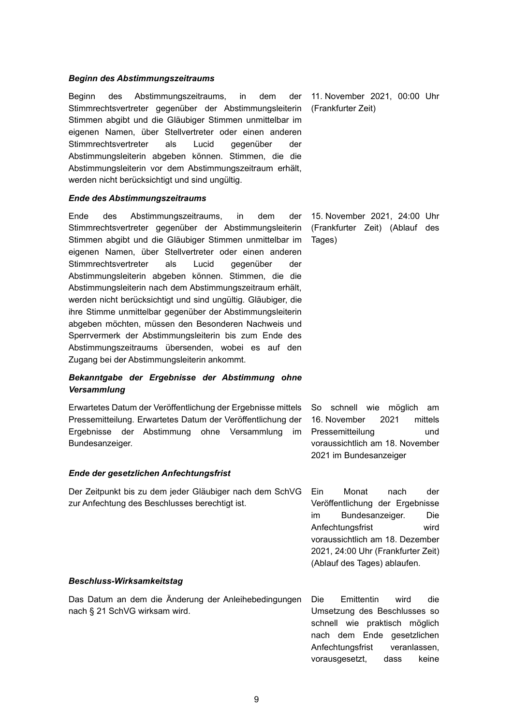#### *Beginn des Abstimmungszeitraums*

Beginn des Abstimmungszeitraums, in dem der Stimmrechtsvertreter gegenüber der Abstimmungsleiterin Stimmen abgibt und die Gläubiger Stimmen unmittelbar im eigenen Namen, über Stellvertreter oder einen anderen Stimmrechtsvertreter als Lucid gegenüber der Abstimmungsleiterin abgeben können. Stimmen, die die Abstimmungsleiterin vor dem Abstimmungszeitraum erhält, werden nicht berücksichtigt und sind ungültig.

#### *Ende des Abstimmungszeitraums*

Ende des Abstimmungszeitraums, in dem der Stimmrechtsvertreter gegenüber der Abstimmungsleiterin Stimmen abgibt und die Gläubiger Stimmen unmittelbar im eigenen Namen, über Stellvertreter oder einen anderen Stimmrechtsvertreter als Lucid gegenüber der Abstimmungsleiterin abgeben können. Stimmen, die die Abstimmungsleiterin nach dem Abstimmungszeitraum erhält, werden nicht berücksichtigt und sind ungültig. Gläubiger, die ihre Stimme unmittelbar gegenüber der Abstimmungsleiterin abgeben möchten, müssen den Besonderen Nachweis und Sperrvermerk der Abstimmungsleiterin bis zum Ende des Abstimmungszeitraums übersenden, wobei es auf den Zugang bei der Abstimmungsleiterin ankommt.

## *Bekanntgabe der Ergebnisse der Abstimmung ohne Versammlung*

Erwartetes Datum der Veröffentlichung der Ergebnisse mittels Pressemitteilung. Erwartetes Datum der Veröffentlichung der Ergebnisse der Abstimmung ohne Versammlung im Bundesanzeiger.

## *Ende der gesetzlichen Anfechtungsfrist*

Der Zeitpunkt bis zu dem jeder Gläubiger nach dem SchVG zur Anfechtung des Beschlusses berechtigt ist.

11. November 2021, 00:00 Uhr (Frankfurter Zeit)

15. November 2021, 24:00 Uhr (Frankfurter Zeit) (Ablauf des Tages)

So schnell wie möglich am 16. November 2021 mittels Pressemitteilung und voraussichtlich am 18. November 2021 im Bundesanzeiger

Ein Monat nach der Veröffentlichung der Ergebnisse im Bundesanzeiger. Die Anfechtungsfrist wird voraussichtlich am 18. Dezember 2021, 24:00 Uhr (Frankfurter Zeit) (Ablauf des Tages) ablaufen.

Anfechtungsfrist veranlassen, vorausgesetzt, dass keine

#### *Beschluss-Wirksamkeitstag*

Das Datum an dem die Änderung der Anleihebedingungen nach § 21 SchVG wirksam wird. Die Emittentin wird die Umsetzung des Beschlusses so schnell wie praktisch möglich nach dem Ende gesetzlichen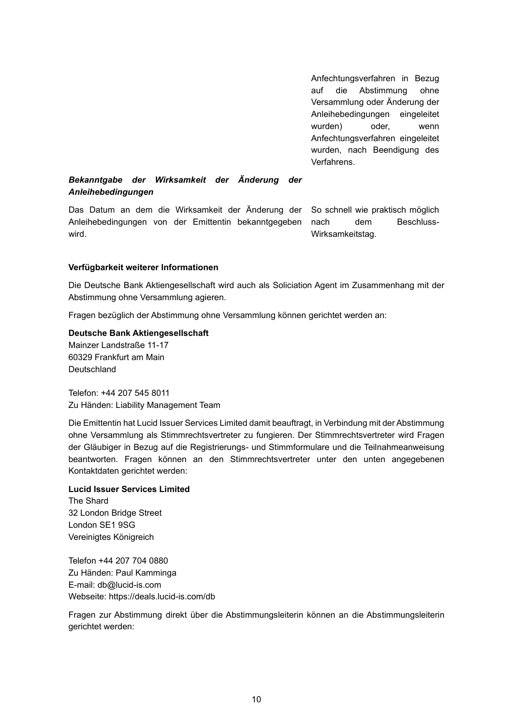Anfechtungsverfahren in Bezug auf die Abstimmung ohne Versammlung oder Änderung der Anleihebedingungen eingeleitet wurden) oder, wenn Anfechtungsverfahren eingeleitet wurden, nach Beendigung des Verfahrens.

# *Bekanntgabe der Wirksamkeit der Änderung der Anleihebedingungen*

Das Datum an dem die Wirksamkeit der Änderung der Anleihebedingungen von der Emittentin bekanntgegeben wird.

So schnell wie praktisch möglich nach dem Beschluss-Wirksamkeitstag.

## **Verfügbarkeit weiterer Informationen**

Die Deutsche Bank Aktiengesellschaft wird auch als Soliciation Agent im Zusammenhang mit der Abstimmung ohne Versammlung agieren.

Fragen bezüglich der Abstimmung ohne Versammlung können gerichtet werden an:

#### **Deutsche Bank Aktiengesellschaft**

Mainzer Landstraße 11-17 60329 Frankfurt am Main Deutschland

Telefon: +44 207 545 8011 Zu Händen: Liability Management Team

Die Emittentin hat Lucid Issuer Services Limited damit beauftragt, in Verbindung mit der Abstimmung ohne Versammlung als Stimmrechtsvertreter zu fungieren. Der Stimmrechtsvertreter wird Fragen der Gläubiger in Bezug auf die Registrierungs- und Stimmformulare und die Teilnahmeanweisung beantworten. Fragen können an den Stimmrechtsvertreter unter den unten angegebenen Kontaktdaten gerichtet werden:

#### **Lucid Issuer Services Limited**

The Shard 32 London Bridge Street London SE1 9SG Vereinigtes Königreich

Telefon +44 207 704 0880 Zu Händen: Paul Kamminga E-mail: db@lucid-is.com Webseite: https://deals.lucid-is.com/db

Fragen zur Abstimmung direkt über die Abstimmungsleiterin können an die Abstimmungsleiterin gerichtet werden: